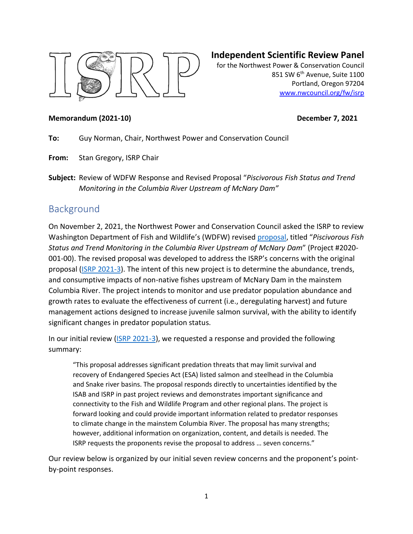

# **Independent Scientific Review Panel**

for the Northwest Power & Conservation Council 851 SW 6<sup>th</sup> Avenue, Suite 1100 Portland, Oregon 97204 [www.nwcouncil.org/fw/isrp](http://www.nwcouncil.org/fw/isrp)

#### **Memorandum (2021-10)** December 7, 2021

**To:** Guy Norman, Chair, Northwest Power and Conservation Council

**From:** Stan Gregory, ISRP Chair

**Subject:** Review of WDFW Response and Revised Proposal "*Piscivorous Fish Status and Trend Monitoring in the Columbia River Upstream of McNary Dam"*

# Background

On November 2, 2021, the Northwest Power and Conservation Council asked the ISRP to review Washington Department of Fish and Wildlife's (WDFW) revise[d proposal,](https://nwcouncil.box.com/s/shyo327mpts3etp4qlwbpxmj14gjetvl) titled "*Piscivorous Fish Status and Trend Monitoring in the Columbia River Upstream of McNary Dam*" (Project #2020- 001-00). The revised proposal was developed to address the ISRP's concerns with the original proposal [\(ISRP 2021-3\)](https://www.nwcouncil.org/reports/isrp-review-new-wdfw-proposal-piscivorous-fish-status-and-trend-monitoring-columbia-river). The intent of this new project is to determine the abundance, trends, and consumptive impacts of non-native fishes upstream of McNary Dam in the mainstem Columbia River. The project intends to monitor and use predator population abundance and growth rates to evaluate the effectiveness of current (i.e., deregulating harvest) and future management actions designed to increase juvenile salmon survival, with the ability to identify significant changes in predator population status.

In our initial review [\(ISRP 2021-3\)](https://www.nwcouncil.org/reports/isrp-review-new-wdfw-proposal-piscivorous-fish-status-and-trend-monitoring-columbia-river), we requested a response and provided the following summary:

"This proposal addresses significant predation threats that may limit survival and recovery of Endangered Species Act (ESA) listed salmon and steelhead in the Columbia and Snake river basins. The proposal responds directly to uncertainties identified by the ISAB and ISRP in past project reviews and demonstrates important significance and connectivity to the Fish and Wildlife Program and other regional plans. The project is forward looking and could provide important information related to predator responses to climate change in the mainstem Columbia River. The proposal has many strengths; however, additional information on organization, content, and details is needed. The ISRP requests the proponents revise the proposal to address … seven concerns."

Our review below is organized by our initial seven review concerns and the proponent's pointby-point responses.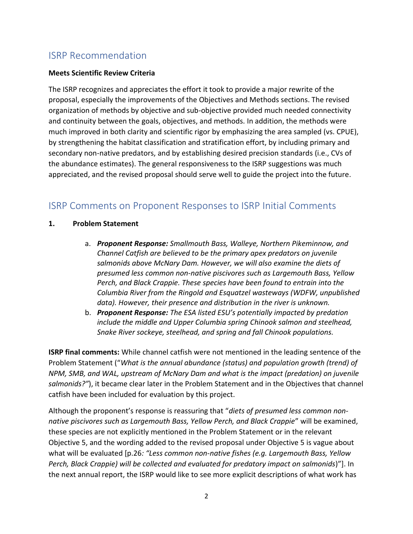# ISRP Recommendation

# **Meets Scientific Review Criteria**

The ISRP recognizes and appreciates the effort it took to provide a major rewrite of the proposal, especially the improvements of the Objectives and Methods sections. The revised organization of methods by objective and sub-objective provided much needed connectivity and continuity between the goals, objectives, and methods. In addition, the methods were much improved in both clarity and scientific rigor by emphasizing the area sampled (vs. CPUE), by strengthening the habitat classification and stratification effort, by including primary and secondary non-native predators, and by establishing desired precision standards (i.e., CVs of the abundance estimates). The general responsiveness to the ISRP suggestions was much appreciated, and the revised proposal should serve well to guide the project into the future.

# ISRP Comments on Proponent Responses to ISRP Initial Comments

# **1. Problem Statement**

- a. *Proponent Response: Smallmouth Bass, Walleye, Northern Pikeminnow, and Channel Catfish are believed to be the primary apex predators on juvenile salmonids above McNary Dam. However, we will also examine the diets of presumed less common non-native piscivores such as Largemouth Bass, Yellow Perch, and Black Crappie. These species have been found to entrain into the Columbia River from the Ringold and Esquatzel wasteways (WDFW, unpublished data). However, their presence and distribution in the river is unknown.*
- b. *Proponent Response: The ESA listed ESU's potentially impacted by predation include the middle and Upper Columbia spring Chinook salmon and steelhead, Snake River sockeye, steelhead, and spring and fall Chinook populations.*

**ISRP final comments:** While channel catfish were not mentioned in the leading sentence of the Problem Statement ("*What is the annual abundance (status) and population growth (trend) of NPM, SMB, and WAL, upstream of McNary Dam and what is the impact (predation) on juvenile salmonids?"*), it became clear later in the Problem Statement and in the Objectives that channel catfish have been included for evaluation by this project.

Although the proponent's response is reassuring that "*diets of presumed less common nonnative piscivores such as Largemouth Bass, Yellow Perch, and Black Crappie*" will be examined, these species are not explicitly mentioned in the Problem Statement or in the relevant Objective 5, and the wording added to the revised proposal under Objective 5 is vague about what will be evaluated [p.26*: "Less common non-native fishes (e.g. Largemouth Bass, Yellow Perch, Black Crappie) will be collected and evaluated for predatory impact on salmonids*)"]. In the next annual report, the ISRP would like to see more explicit descriptions of what work has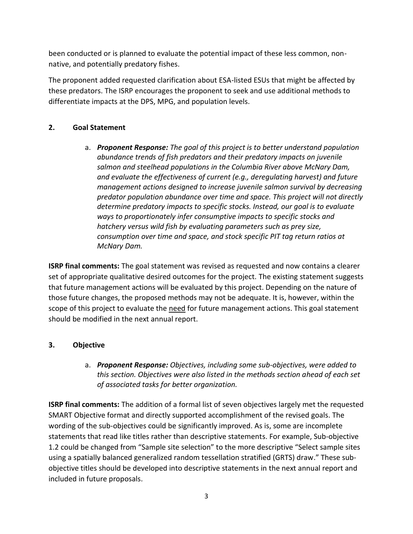been conducted or is planned to evaluate the potential impact of these less common, nonnative, and potentially predatory fishes.

The proponent added requested clarification about ESA-listed ESUs that might be affected by these predators. The ISRP encourages the proponent to seek and use additional methods to differentiate impacts at the DPS, MPG, and population levels.

# **2. Goal Statement**

a. *Proponent Response: The goal of this project is to better understand population abundance trends of fish predators and their predatory impacts on juvenile salmon and steelhead populations in the Columbia River above McNary Dam, and evaluate the effectiveness of current (e.g., deregulating harvest) and future management actions designed to increase juvenile salmon survival by decreasing predator population abundance over time and space. This project will not directly determine predatory impacts to specific stocks. Instead, our goal is to evaluate ways to proportionately infer consumptive impacts to specific stocks and hatchery versus wild fish by evaluating parameters such as prey size, consumption over time and space, and stock specific PIT tag return ratios at McNary Dam.*

**ISRP final comments:** The goal statement was revised as requested and now contains a clearer set of appropriate qualitative desired outcomes for the project. The existing statement suggests that future management actions will be evaluated by this project. Depending on the nature of those future changes, the proposed methods may not be adequate. It is, however, within the scope of this project to evaluate the need for future management actions. This goal statement should be modified in the next annual report.

# **3. Objective**

a. *Proponent Response: Objectives, including some sub-objectives, were added to this section. Objectives were also listed in the methods section ahead of each set of associated tasks for better organization.*

**ISRP final comments:** The addition of a formal list of seven objectives largely met the requested SMART Objective format and directly supported accomplishment of the revised goals. The wording of the sub-objectives could be significantly improved. As is, some are incomplete statements that read like titles rather than descriptive statements. For example, Sub-objective 1.2 could be changed from "Sample site selection" to the more descriptive "Select sample sites using a spatially balanced generalized random tessellation stratified (GRTS) draw." These subobjective titles should be developed into descriptive statements in the next annual report and included in future proposals.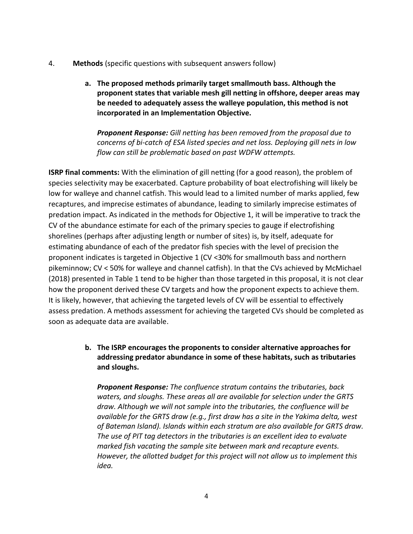- 4. **Methods** (specific questions with subsequent answers follow)
	- **a. The proposed methods primarily target smallmouth bass. Although the proponent states that variable mesh gill netting in offshore, deeper areas may be needed to adequately assess the walleye population, this method is not incorporated in an Implementation Objective.**

*Proponent Response: Gill netting has been removed from the proposal due to concerns of bi-catch of ESA listed species and net loss. Deploying gill nets in low flow can still be problematic based on past WDFW attempts.*

**ISRP final comments:** With the elimination of gill netting (for a good reason), the problem of species selectivity may be exacerbated. Capture probability of boat electrofishing will likely be low for walleye and channel catfish. This would lead to a limited number of marks applied, few recaptures, and imprecise estimates of abundance, leading to similarly imprecise estimates of predation impact. As indicated in the methods for Objective 1, it will be imperative to track the CV of the abundance estimate for each of the primary species to gauge if electrofishing shorelines (perhaps after adjusting length or number of sites) is, by itself, adequate for estimating abundance of each of the predator fish species with the level of precision the proponent indicates is targeted in Objective 1 (CV <30% for smallmouth bass and northern pikeminnow; CV < 50% for walleye and channel catfish). In that the CVs achieved by McMichael (2018) presented in Table 1 tend to be higher than those targeted in this proposal, it is not clear how the proponent derived these CV targets and how the proponent expects to achieve them. It is likely, however, that achieving the targeted levels of CV will be essential to effectively assess predation. A methods assessment for achieving the targeted CVs should be completed as soon as adequate data are available.

> **b. The ISRP encourages the proponents to consider alternative approaches for addressing predator abundance in some of these habitats, such as tributaries and sloughs.**

*Proponent Response: The confluence stratum contains the tributaries, back waters, and sloughs. These areas all are available for selection under the GRTS draw. Although we will not sample into the tributaries, the confluence will be available for the GRTS draw (e.g., first draw has a site in the Yakima delta, west of Bateman Island). Islands within each stratum are also available for GRTS draw. The use of PIT tag detectors in the tributaries is an excellent idea to evaluate marked fish vacating the sample site between mark and recapture events. However, the allotted budget for this project will not allow us to implement this idea.*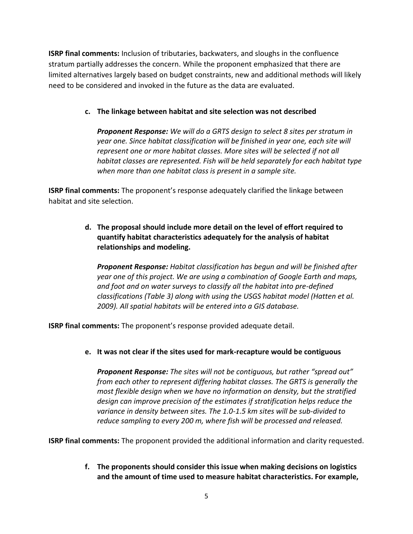**ISRP final comments:** Inclusion of tributaries, backwaters, and sloughs in the confluence stratum partially addresses the concern. While the proponent emphasized that there are limited alternatives largely based on budget constraints, new and additional methods will likely need to be considered and invoked in the future as the data are evaluated.

# **c. The linkage between habitat and site selection was not described**

*Proponent Response: We will do a GRTS design to select 8 sites per stratum in year one. Since habitat classification will be finished in year one, each site will represent one or more habitat classes. More sites will be selected if not all habitat classes are represented. Fish will be held separately for each habitat type when more than one habitat class is present in a sample site.*

**ISRP final comments:** The proponent's response adequately clarified the linkage between habitat and site selection.

> **d. The proposal should include more detail on the level of effort required to quantify habitat characteristics adequately for the analysis of habitat relationships and modeling.**

*Proponent Response: Habitat classification has begun and will be finished after year one of this project. We are using a combination of Google Earth and maps, and foot and on water surveys to classify all the habitat into pre-defined classifications (Table 3) along with using the USGS habitat model (Hatten et al. 2009). All spatial habitats will be entered into a GIS database.*

**ISRP final comments:** The proponent's response provided adequate detail.

**e. It was not clear if the sites used for mark-recapture would be contiguous**

*Proponent Response: The sites will not be contiguous, but rather "spread out" from each other to represent differing habitat classes. The GRTS is generally the most flexible design when we have no information on density, but the stratified design can improve precision of the estimates if stratification helps reduce the variance in density between sites. The 1.0-1.5 km sites will be sub-divided to reduce sampling to every 200 m, where fish will be processed and released.*

**ISRP final comments:** The proponent provided the additional information and clarity requested.

**f. The proponents should consider this issue when making decisions on logistics and the amount of time used to measure habitat characteristics. For example,**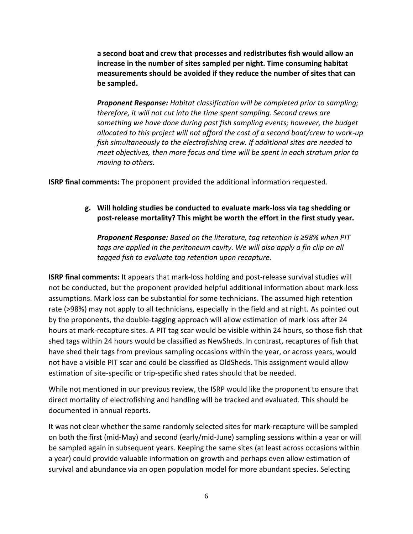**a second boat and crew that processes and redistributes fish would allow an increase in the number of sites sampled per night. Time consuming habitat measurements should be avoided if they reduce the number of sites that can be sampled.**

*Proponent Response: Habitat classification will be completed prior to sampling; therefore, it will not cut into the time spent sampling. Second crews are something we have done during past fish sampling events; however, the budget allocated to this project will not afford the cost of a second boat/crew to work-up fish simultaneously to the electrofishing crew. If additional sites are needed to meet objectives, then more focus and time will be spent in each stratum prior to moving to others.*

**ISRP final comments:** The proponent provided the additional information requested.

# **g. Will holding studies be conducted to evaluate mark-loss via tag shedding or post-release mortality? This might be worth the effort in the first study year.**

*Proponent Response: Based on the literature, tag retention is ≥98% when PIT*  tags are applied in the peritoneum cavity. We will also apply a fin clip on all *tagged fish to evaluate tag retention upon recapture.*

**ISRP final comments:** It appears that mark-loss holding and post-release survival studies will not be conducted, but the proponent provided helpful additional information about mark-loss assumptions. Mark loss can be substantial for some technicians. The assumed high retention rate (>98%) may not apply to all technicians, especially in the field and at night. As pointed out by the proponents, the double-tagging approach will allow estimation of mark loss after 24 hours at mark-recapture sites. A PIT tag scar would be visible within 24 hours, so those fish that shed tags within 24 hours would be classified as NewSheds. In contrast, recaptures of fish that have shed their tags from previous sampling occasions within the year, or across years, would not have a visible PIT scar and could be classified as OldSheds. This assignment would allow estimation of site-specific or trip-specific shed rates should that be needed.

While not mentioned in our previous review, the ISRP would like the proponent to ensure that direct mortality of electrofishing and handling will be tracked and evaluated. This should be documented in annual reports.

It was not clear whether the same randomly selected sites for mark-recapture will be sampled on both the first (mid-May) and second (early/mid-June) sampling sessions within a year or will be sampled again in subsequent years. Keeping the same sites (at least across occasions within a year) could provide valuable information on growth and perhaps even allow estimation of survival and abundance via an open population model for more abundant species. Selecting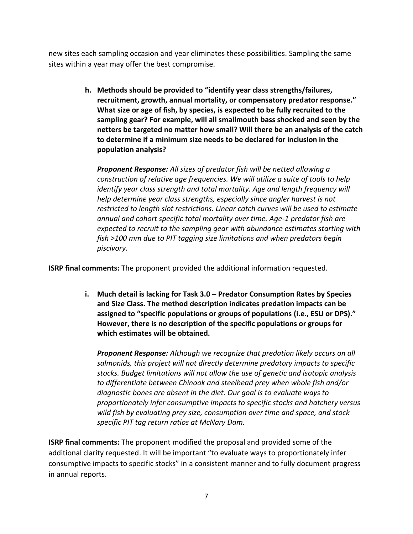new sites each sampling occasion and year eliminates these possibilities. Sampling the same sites within a year may offer the best compromise.

> **h. Methods should be provided to "identify year class strengths/failures, recruitment, growth, annual mortality, or compensatory predator response." What size or age of fish, by species, is expected to be fully recruited to the sampling gear? For example, will all smallmouth bass shocked and seen by the netters be targeted no matter how small? Will there be an analysis of the catch to determine if a minimum size needs to be declared for inclusion in the population analysis?**

*Proponent Response: All sizes of predator fish will be netted allowing a construction of relative age frequencies. We will utilize a suite of tools to help identify year class strength and total mortality. Age and length frequency will help determine year class strengths, especially since angler harvest is not restricted to length slot restrictions. Linear catch curves will be used to estimate annual and cohort specific total mortality over time. Age-1 predator fish are expected to recruit to the sampling gear with abundance estimates starting with fish >100 mm due to PIT tagging size limitations and when predators begin piscivory.*

**ISRP final comments:** The proponent provided the additional information requested.

**i. Much detail is lacking for Task 3.0 – Predator Consumption Rates by Species and Size Class. The method description indicates predation impacts can be assigned to "specific populations or groups of populations (i.e., ESU or DPS)." However, there is no description of the specific populations or groups for which estimates will be obtained.**

*Proponent Response: Although we recognize that predation likely occurs on all salmonids, this project will not directly determine predatory impacts to specific stocks. Budget limitations will not allow the use of genetic and isotopic analysis to differentiate between Chinook and steelhead prey when whole fish and/or diagnostic bones are absent in the diet. Our goal is to evaluate ways to proportionately infer consumptive impacts to specific stocks and hatchery versus wild fish by evaluating prey size, consumption over time and space, and stock specific PIT tag return ratios at McNary Dam.*

**ISRP final comments:** The proponent modified the proposal and provided some of the additional clarity requested. It will be important "to evaluate ways to proportionately infer consumptive impacts to specific stocks" in a consistent manner and to fully document progress in annual reports.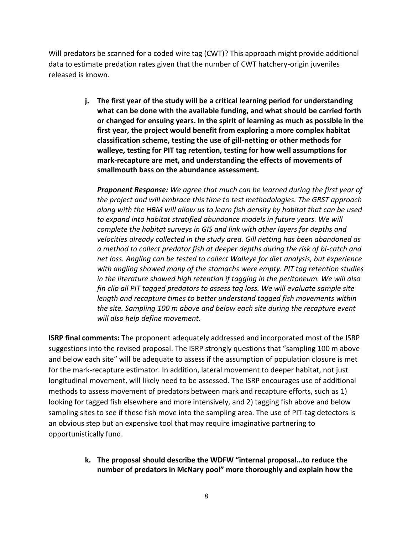Will predators be scanned for a coded wire tag (CWT)? This approach might provide additional data to estimate predation rates given that the number of CWT hatchery-origin juveniles released is known.

> **j. The first year of the study will be a critical learning period for understanding what can be done with the available funding, and what should be carried forth or changed for ensuing years. In the spirit of learning as much as possible in the first year, the project would benefit from exploring a more complex habitat classification scheme, testing the use of gill-netting or other methods for walleye, testing for PIT tag retention, testing for how well assumptions for mark-recapture are met, and understanding the effects of movements of smallmouth bass on the abundance assessment.**

*Proponent Response: We agree that much can be learned during the first year of the project and will embrace this time to test methodologies. The GRST approach along with the HBM will allow us to learn fish density by habitat that can be used to expand into habitat stratified abundance models in future years. We will complete the habitat surveys in GIS and link with other layers for depths and velocities already collected in the study area. Gill netting has been abandoned as a method to collect predator fish at deeper depths during the risk of bi-catch and net loss. Angling can be tested to collect Walleye for diet analysis, but experience with angling showed many of the stomachs were empty. PIT tag retention studies in the literature showed high retention if tagging in the peritoneum. We will also fin clip all PIT tagged predators to assess tag loss. We will evaluate sample site length and recapture times to better understand tagged fish movements within the site. Sampling 100 m above and below each site during the recapture event will also help define movement.*

**ISRP final comments:** The proponent adequately addressed and incorporated most of the ISRP suggestions into the revised proposal. The ISRP strongly questions that "sampling 100 m above and below each site" will be adequate to assess if the assumption of population closure is met for the mark-recapture estimator. In addition, lateral movement to deeper habitat, not just longitudinal movement, will likely need to be assessed. The ISRP encourages use of additional methods to assess movement of predators between mark and recapture efforts, such as 1) looking for tagged fish elsewhere and more intensively, and 2) tagging fish above and below sampling sites to see if these fish move into the sampling area. The use of PIT-tag detectors is an obvious step but an expensive tool that may require imaginative partnering to opportunistically fund.

> **k. The proposal should describe the WDFW "internal proposal…to reduce the number of predators in McNary pool" more thoroughly and explain how the**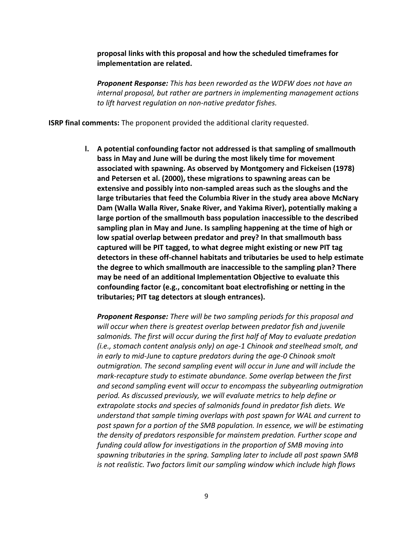**proposal links with this proposal and how the scheduled timeframes for implementation are related.**

*Proponent Response: This has been reworded as the WDFW does not have an internal proposal, but rather are partners in implementing management actions to lift harvest regulation on non-native predator fishes.*

**ISRP final comments:** The proponent provided the additional clarity requested.

**l. A potential confounding factor not addressed is that sampling of smallmouth bass in May and June will be during the most likely time for movement associated with spawning. As observed by Montgomery and Fickeisen (1978) and Petersen et al. (2000), these migrations to spawning areas can be extensive and possibly into non-sampled areas such as the sloughs and the large tributaries that feed the Columbia River in the study area above McNary Dam (Walla Walla River, Snake River, and Yakima River), potentially making a large portion of the smallmouth bass population inaccessible to the described sampling plan in May and June. Is sampling happening at the time of high or low spatial overlap between predator and prey? In that smallmouth bass captured will be PIT tagged, to what degree might existing or new PIT tag detectors in these off-channel habitats and tributaries be used to help estimate the degree to which smallmouth are inaccessible to the sampling plan? There may be need of an additional Implementation Objective to evaluate this confounding factor (e.g., concomitant boat electrofishing or netting in the tributaries; PIT tag detectors at slough entrances).**

*Proponent Response: There will be two sampling periods for this proposal and will occur when there is greatest overlap between predator fish and juvenile salmonids. The first will occur during the first half of May to evaluate predation (i.e., stomach content analysis only) on age-1 Chinook and steelhead smolt, and in early to mid-June to capture predators during the age-0 Chinook smolt outmigration. The second sampling event will occur in June and will include the mark-recapture study to estimate abundance. Some overlap between the first and second sampling event will occur to encompass the subyearling outmigration period. As discussed previously, we will evaluate metrics to help define or extrapolate stocks and species of salmonids found in predator fish diets. We understand that sample timing overlaps with post spawn for WAL and current to post spawn for a portion of the SMB population. In essence, we will be estimating the density of predators responsible for mainstem predation. Further scope and funding could allow for investigations in the proportion of SMB moving into spawning tributaries in the spring. Sampling later to include all post spawn SMB is not realistic. Two factors limit our sampling window which include high flows*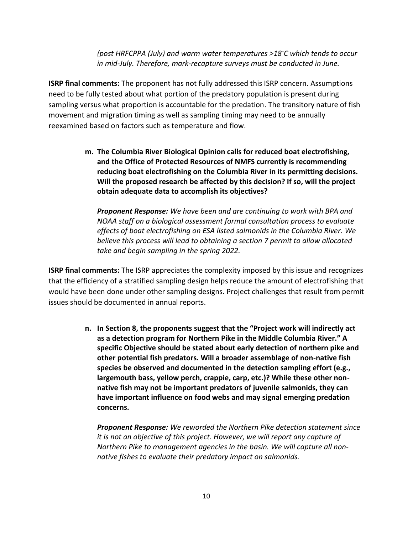*(post HRFCPPA (July) and warm water temperatures >18◦C which tends to occur in mid-July. Therefore, mark-recapture surveys must be conducted in June.*

**ISRP final comments:** The proponent has not fully addressed this ISRP concern. Assumptions need to be fully tested about what portion of the predatory population is present during sampling versus what proportion is accountable for the predation. The transitory nature of fish movement and migration timing as well as sampling timing may need to be annually reexamined based on factors such as temperature and flow.

> **m. The Columbia River Biological Opinion calls for reduced boat electrofishing, and the Office of Protected Resources of NMFS currently is recommending reducing boat electrofishing on the Columbia River in its permitting decisions. Will the proposed research be affected by this decision? If so, will the project obtain adequate data to accomplish its objectives?**

*Proponent Response: We have been and are continuing to work with BPA and NOAA staff on a biological assessment formal consultation process to evaluate effects of boat electrofishing on ESA listed salmonids in the Columbia River. We believe this process will lead to obtaining a section 7 permit to allow allocated take and begin sampling in the spring 2022.*

**ISRP final comments:** The ISRP appreciates the complexity imposed by this issue and recognizes that the efficiency of a stratified sampling design helps reduce the amount of electrofishing that would have been done under other sampling designs. Project challenges that result from permit issues should be documented in annual reports.

> **n. In Section 8, the proponents suggest that the "Project work will indirectly act as a detection program for Northern Pike in the Middle Columbia River." A specific Objective should be stated about early detection of northern pike and other potential fish predators. Will a broader assemblage of non-native fish species be observed and documented in the detection sampling effort (e.g., largemouth bass, yellow perch, crappie, carp, etc.)? While these other nonnative fish may not be important predators of juvenile salmonids, they can have important influence on food webs and may signal emerging predation concerns.**

*Proponent Response: We reworded the Northern Pike detection statement since it is not an objective of this project. However, we will report any capture of Northern Pike to management agencies in the basin. We will capture all nonnative fishes to evaluate their predatory impact on salmonids.*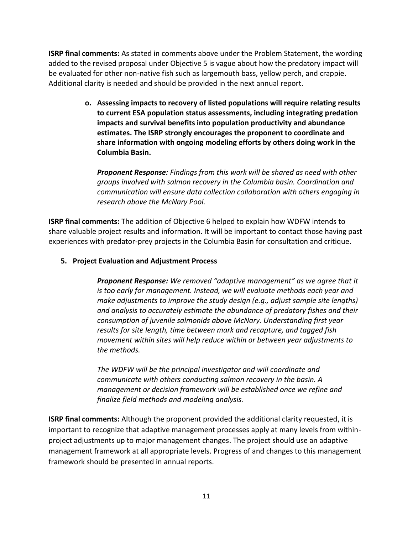**ISRP final comments:** As stated in comments above under the Problem Statement, the wording added to the revised proposal under Objective 5 is vague about how the predatory impact will be evaluated for other non-native fish such as largemouth bass, yellow perch, and crappie. Additional clarity is needed and should be provided in the next annual report.

> **o. Assessing impacts to recovery of listed populations will require relating results to current ESA population status assessments, including integrating predation impacts and survival benefits into population productivity and abundance estimates. The ISRP strongly encourages the proponent to coordinate and share information with ongoing modeling efforts by others doing work in the Columbia Basin.**

*Proponent Response: Findings from this work will be shared as need with other groups involved with salmon recovery in the Columbia basin. Coordination and communication will ensure data collection collaboration with others engaging in research above the McNary Pool.*

**ISRP final comments:** The addition of Objective 6 helped to explain how WDFW intends to share valuable project results and information. It will be important to contact those having past experiences with predator-prey projects in the Columbia Basin for consultation and critique.

### **5. Project Evaluation and Adjustment Process**

*Proponent Response: We removed "adaptive management" as we agree that it is too early for management. Instead, we will evaluate methods each year and make adjustments to improve the study design (e.g., adjust sample site lengths) and analysis to accurately estimate the abundance of predatory fishes and their consumption of juvenile salmonids above McNary. Understanding first year results for site length, time between mark and recapture, and tagged fish movement within sites will help reduce within or between year adjustments to the methods.*

*The WDFW will be the principal investigator and will coordinate and communicate with others conducting salmon recovery in the basin. A management or decision framework will be established once we refine and finalize field methods and modeling analysis.* 

**ISRP final comments:** Although the proponent provided the additional clarity requested, it is important to recognize that adaptive management processes apply at many levels from withinproject adjustments up to major management changes. The project should use an adaptive management framework at all appropriate levels. Progress of and changes to this management framework should be presented in annual reports.